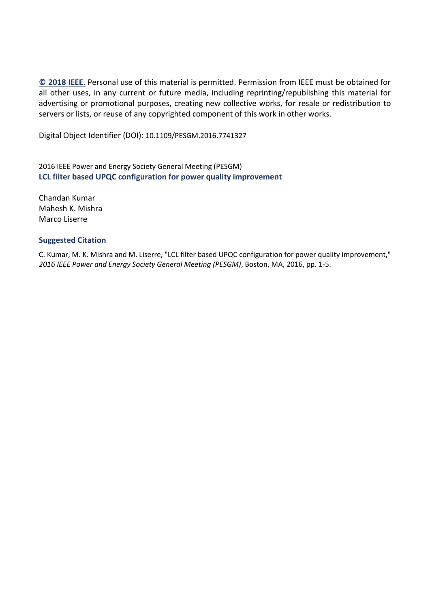**[© 2018](http://www.ieee.org/publications_standards/publications/rights/copyrightpolicy.html) IEEE**. Personal use of this material is permitted. Permission from IEEE must be obtained for all other uses, in any current or future media, including reprinting/republishing this material for advertising or promotional purposes, creating new collective works, for resale or redistribution to servers or lists, or reuse of any copyrighted component of this work in other works.

Digital Object Identifier (DOI): 10.1109/PESGM.2016.7741327

2016 IEEE Power and Energy Society General Meeting (PESGM) **LCL filter based UPQC configuration for power quality improvement**

Chandan Kumar Mahesh K. Mishra Marco Liserre

## **Suggested Citation**

C. Kumar, M. K. Mishra and M. Liserre, "LCL filter based UPQC configuration for power quality improvement," *2016 IEEE Power and Energy Society General Meeting (PESGM)*, Boston, MA, 2016, pp. 1-5.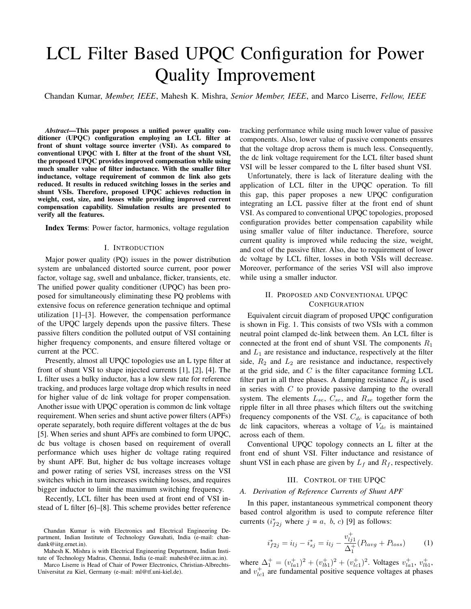# LCL Filter Based UPQC Configuration for Power Quality Improvement

Chandan Kumar, *Member, IEEE*, Mahesh K. Mishra, *Senior Member, IEEE*, and Marco Liserre, *Fellow, IEEE*

*Abstract*—This paper proposes a unified power quality conditioner (UPQC) configuration employing an LCL filter at front of shunt voltage source inverter (VSI). As compared to conventional UPQC with L filter at the front of the shunt VSI, the proposed UPQC provides improved compensation while using much smaller value of filter inductance. With the smaller filter inductance, voltage requirement of common dc link also gets reduced. It results in reduced switching losses in the series and shunt VSIs. Therefore, proposed UPQC achieves reduction in weight, cost, size, and losses while providing improved current compensation capability. Simulation results are presented to verify all the features.

Index Terms: Power factor, harmonics, voltage regulation

#### I. INTRODUCTION

Major power quality (PQ) issues in the power distribution system are unbalanced distorted source current, poor power factor, voltage sag, swell and unbalance, flicker, transients, etc. The unified power quality conditioner (UPQC) has been proposed for simultaneously eliminating these PQ problems with extensive focus on reference generation technique and optimal utilization [1]–[3]. However, the compensation performance of the UPQC largely depends upon the passive filters. These passive filters condition the polluted output of VSI containing higher frequency components, and ensure filtered voltage or current at the PCC.

Presently, almost all UPQC topologies use an L type filter at front of shunt VSI to shape injected currents [1], [2], [4]. The L filter uses a bulky inductor, has a low slew rate for reference tracking, and produces large voltage drop which results in need for higher value of dc link voltage for proper compensation. Another issue with UPQC operation is common dc link voltage requirement. When series and shunt active power filters (APFs) operate separately, both require different voltages at the dc bus [5]. When series and shunt APFs are combined to form UPQC, dc bus voltage is chosen based on requirement of overall performance which uses higher dc voltage rating required by shunt APF. But, higher dc bus voltage increases voltage and power rating of series VSI, increases stress on the VSI switches which in turn increases switching losses, and requires bigger inductor to limit the maximum switching frequency.

Recently, LCL filter has been used at front end of VSI instead of L filter [6]–[8]. This scheme provides better reference tracking performance while using much lower value of passive components. Also, lower value of passive components ensures that the voltage drop across them is much less. Consequently, the dc link voltage requirement for the LCL filter based shunt VSI will be lesser compared to the L filter based shunt VSI.

Unfortunately, there is lack of literature dealing with the application of LCL filter in the UPQC operation. To fill this gap, this paper proposes a new UPQC configuration integrating an LCL passive filter at the front end of shunt VSI. As compared to conventional UPQC topologies, proposed configuration provides better compensation capability while using smaller value of filter inductance. Therefore, source current quality is improved while reducing the size, weight, and cost of the passive filter. Also, due to requirement of lower dc voltage by LCL filter, losses in both VSIs will decrease. Moreover, performance of the series VSI will also improve while using a smaller inductor.

## II. PROPOSED AND CONVENTIONAL UPQC **CONFIGURATION**

Equivalent circuit diagram of proposed UPQC configuration is shown in Fig. 1. This consists of two VSIs with a common neutral point clamped dc-link between them. An LCL filter is connected at the front end of shunt VSI. The components  $R_1$ and  $L_1$  are resistance and inductance, respectively at the filter side,  $R_2$  and  $L_2$  are resistance and inductance, respectively at the grid side, and  $C$  is the filter capacitance forming LCL filter part in all three phases. A damping resistance  $R_d$  is used in series with  $C$  to provide passive damping to the overall system. The elements  $L_{se}$ ,  $C_{se}$ , and  $R_{se}$  together form the ripple filter in all three phases which filters out the switching frequency components of the VSI.  $C_{dc}$  is capacitance of both dc link capacitors, whereas a voltage of  $V_{dc}$  is maintained across each of them.

Conventional UPQC topology connects an L filter at the front end of shunt VSI. Filter inductance and resistance of shunt VSI in each phase are given by  $L_f$  and  $R_f$ , respectively.

## III. CONTROL OF THE UPQC

## *A. Derivation of Reference Currents of Shunt APF*

In this paper, instantaneous symmetrical component theory based control algorithm is used to compute reference filter currents  $(i_{f2j}^*$  where  $j = a, b, c$  [9] as follows:

$$
i_{f2j}^* = i_{lj} - i_{sj}^* = i_{lj} - \frac{v_{lj1}^+}{\Delta_1^+} (P_{lavg} + P_{loss}) \tag{1}
$$

where  $\Delta_1^+ = (v_{la1}^+)^2 + (v_{lb1}^+)^2 + (v_{lc1}^+)^2$ . Voltages  $v_{la1}^+$ ,  $v_{lb1}^+$ , and  $v_{lc1}^+$  are fundamental positive sequence voltages at phases

Chandan Kumar is with Electronics and Electrical Engineering Department, Indian Institute of Technology Guwahati, India (e-mail: chandank@iitg.ernet.in).

Mahesh K. Mishra is with Electrical Engineering Department, Indian Institute of Technology Madras, Chennai, India (e-mail: mahesh@ee.iitm.ac.in).

Marco Liserre is Head of Chair of Power Electronics, Christian-Albrechts-Universitat zu Kiel, Germany (e-mail: ml@tf.uni-kiel.de).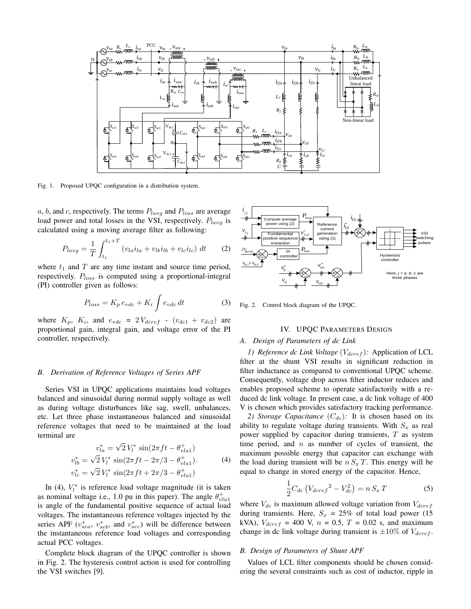

Fig. 1. Proposed UPQC configuration in a distribution system.

a, b, and c, respectively. The terms  $P_{lavg}$  and  $P_{loss}$  are average load power and total losses in the VSI, respectively.  $P_{lav}$  is calculated using a moving average filter as following:

$$
P_{lavg} = \frac{1}{T} \int_{t_1}^{t_1+T} (v_{la} i_{la} + v_{lb} i_{lb} + v_{lc} i_{lc}) dt
$$
 (2)

where  $t_1$  and  $T$  are any time instant and source time period, respectively.  $P_{loss}$  is computed using a proportional-integral (PI) controller given as follows:

$$
P_{loss} = K_p e_{vdc} + K_i \int e_{vdc} dt \tag{3}
$$

where  $K_p$ ,  $K_i$ , and  $e_{vdc} = 2V_{dcref}$  -  $(v_{dc1} + v_{dc2})$  are proportional gain, integral gain, and voltage error of the PI controller, respectively.

#### *B. Derivation of Reference Voltages of Series APF*

Series VSI in UPQC applications maintains load voltages balanced and sinusoidal during normal supply voltage as well as during voltage disturbances like sag, swell, unbalances, etc. Let three phase instantaneous balanced and sinusoidal reference voltages that need to be maintained at the load terminal are √

$$
v_{la}^{*} = \sqrt{2} V_{l}^{*} \sin(2\pi ft - \theta_{vla1}^{+})
$$
  
\n
$$
v_{lb}^{*} = \sqrt{2} V_{l}^{*} \sin(2\pi ft - 2\pi/3 - \theta_{vla1}^{+}).
$$
  
\n
$$
v_{lc}^{*} = \sqrt{2} V_{l}^{*} \sin(2\pi ft + 2\pi/3 - \theta_{vla1}^{+}).
$$
\n(4)

In (4),  $V_l^*$  is reference load voltage magnitude (it is taken as nominal voltage i.e., 1.0 pu in this paper). The angle  $\theta_{vla}^{+}$ is angle of the fundamental positive sequence of actual load voltages. The instantaneous reference voltages injected by the series APF ( $v_{sea}^*$ ,  $v_{seb}^*$ , and  $v_{sec}^*$ ) will be difference between the instantaneous reference load voltages and corresponding actual PCC voltages. where  $t_1$  and  $T$  are any time instant and source time period,  $\frac{v_{c1}^2}{V_{c2}}$  **v** (PI) controller given as follows:<br>
(PI) controller given as follows:<br>
(PI) controller given as follows:<br>  $P_{loss} = K_p e_{vdc} + K_i \int e_{vdc} dt$  (3

Complete block diagram of the UPQC controller is shown in Fig. 2. The hysteresis control action is used for controlling



Fig. 2. Control block diagram of the UPQC.

#### IV. UPQC PARAMETERS DESIGN

#### *A. Design of Parameters of dc Link*

*1) Reference dc Link Voltage* ( $V_{dcref}$ ): Application of LCL filter at the shunt VSI results in significant reduction in filter inductance as compared to conventional UPQC scheme. Consequently, voltage drop across filter inductor reduces and enables proposed scheme to operate satisfactorily with a reduced dc link voltage. In present case, a dc link voltage of 400 V is chosen which provides satisfactory tracking performance.

*2) Storage Capacitance*  $(C_{dc})$ : It is chosen based on its ability to regulate voltage during transients. With  $S_x$  as real power supplied by capacitor during transients,  $T$  as system time period, and  $n$  as number of cycles of transient, the maximum possible energy that capacitor can exchange with the load during transient will be  $n S<sub>x</sub> T$ . This energy will be equal to change in stored energy of the capacitor. Hence,

$$
\frac{1}{2}C_{dc}\left(V_{dcref}^2 - V_{dc}^2\right) = nS_x T\tag{5}
$$

where  $V_{dc}$  is maximum allowed voltage variation from  $V_{dcref}$ during transients. Here,  $S_x = 25\%$  of total load power (15) kVA),  $V_{dcref} = 400$  V,  $n = 0.5$ ,  $T = 0.02$  s, and maximum change in dc link voltage during transient is  $\pm 10\%$  of  $V_{dcref}$ .

#### *B. Design of Parameters of Shunt APF*

Values of LCL filter components should be chosen considering the several constraints such as cost of inductor, ripple in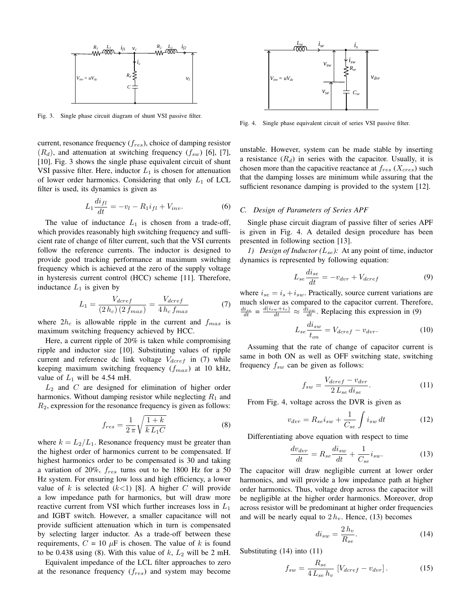

Fig. 3. Single phase circuit diagram of shunt VSI passive filter.

current, resonance frequency  $(f_{res})$ , choice of damping resistor  $(R_d)$ , and attenuation at switching frequency  $(f_{sw})$  [6], [7], [10]. Fig. 3 shows the single phase equivalent circuit of shunt VSI passive filter. Here, inductor  $L_1$  is chosen for attenuation of lower order harmonics. Considering that only  $L_1$  of LCL filter is used, its dynamics is given as

$$
L_1 \frac{di_{fl}}{dt} = -v_l - R_1 i_{fl} + V_{inv}.
$$
 (6)

The value of inductance  $L_1$  is chosen from a trade-off, which provides reasonably high switching frequency and sufficient rate of change of filter current, such that the VSI currents follow the reference currents. The inductor is designed to provide good tracking performance at maximum switching frequency which is achieved at the zero of the supply voltage in hysteresis current control (HCC) scheme [11]. Therefore, inductance  $L_1$  is given by

$$
L_1 = \frac{V_{dcref}}{(2\,h_c)\,(2\,f_{max})} = \frac{V_{dcref}}{4\,h_c\,f_{max}}\tag{7}
$$

where  $2h_c$  is allowable ripple in the current and  $f_{max}$  is maximum switching frequency achieved by HCC.

Here, a current ripple of 20% is taken while compromising ripple and inductor size [10]. Substituting values of ripple current and reference dc link voltage  $V_{dcref}$  in (7) while keeping maximum switching frequency  $(f_{max})$  at 10 kHz, value of  $L_1$  will be 4.54 mH.

 $L_2$  and C are designed for elimination of higher order harmonics. Without damping resistor while neglecting  $R_1$  and  $R<sub>2</sub>$ , expression for the resonance frequency is given as follows:

$$
f_{res} = \frac{1}{2\pi} \sqrt{\frac{1+k}{k\,L_1C}}\tag{8}
$$

where  $k = L_2/L_1$ . Resonance frequency must be greater than the highest order of harmonics current to be compensated. If highest harmonics order to be compensated is 30 and taking a variation of 20%,  $f_{res}$  turns out to be 1800 Hz for a 50 Hz system. For ensuring low loss and high efficiency, a lower value of k is selected  $(k<1)$  [8]. A higher C will provide a low impedance path for harmonics, but will draw more reactive current from VSI which further increases loss in  $L_1$ and IGBT switch. However, a smaller capacitance will not provide sufficient attenuation which in turn is compensated by selecting larger inductor. As a trade-off between these requirements,  $C = 10 \mu F$  is chosen. The value of k is found to be 0.438 using (8). With this value of  $k$ ,  $L_2$  will be 2 mH.

Equivalent impedance of the LCL filter approaches to zero at the resonance frequency  $(f_{res})$  and system may become



Fig. 4. Single phase equivalent circuit of series VSI passive filter.

unstable. However, system can be made stable by inserting a resistance  $(R_d)$  in series with the capacitor. Usually, it is chosen more than the capacitive reactance at  $f_{res}$  ( $X_{cres}$ ) such that the damping losses are minimum while assuring that the sufficient resonance damping is provided to the system [12].

## *C. Design of Parameters of Series APF*

Single phase circuit diagram of passive filter of series APF is given in Fig. 4. A detailed design procedure has been presented in following section [13].

*1) Design of Inductor* ( $L_{se}$ ): At any point of time, inductor dynamics is represented by following equation:

$$
L_{se} \frac{di_{se}}{dt} = -v_{dvr} + V_{dcref}
$$
 (9)

where  $i_{se} = i_s + i_{sw}$ . Practically, source current variations are much slower as compared to the capacitor current. Therefore,  $\frac{di_{se}}{dt} = \frac{d(i_{sw} + i_{s})}{dt} \approx \frac{\bar{d}i_{sw}}{dt}$ . Replacing this expression in (9)

$$
L_{se} \frac{di_{sw}}{t_{on}} = V_{dcref} - v_{dvr}.\tag{10}
$$

Assuming that the rate of change of capacitor current is same in both ON as well as OFF switching state, switching frequency  $f_{sw}$  can be given as follows:

$$
f_{sw} = \frac{V_{dcref} - v_{dvr}}{2 \, L_{se} \, di_{se}}.\tag{11}
$$

From Fig. 4, voltage across the DVR is given as

$$
v_{dvr} = R_{se}i_{sw} + \frac{1}{C_{se}} \int i_{sw} dt
$$
 (12)

Differentiating above equation with respect to time

$$
\frac{dv_{dvr}}{dt} = R_{se} \frac{di_{sw}}{dt} + \frac{1}{C_{se}} i_{sw}.
$$
 (13)

The capacitor will draw negligible current at lower order harmonics, and will provide a low impedance path at higher order harmonics. Thus, voltage drop across the capacitor will be negligible at the higher order harmonics. Moreover, drop across resistor will be predominant at higher order frequencies and will be nearly equal to  $2 h_v$ . Hence, (13) becomes

$$
di_{sw} = \frac{2\,h_v}{R_{se}}.\tag{14}
$$

Substituting (14) into (11)

$$
f_{sw} = \frac{R_{se}}{4 L_{se} h_v} \left[ V_{dcref} - v_{dvr} \right]. \tag{15}
$$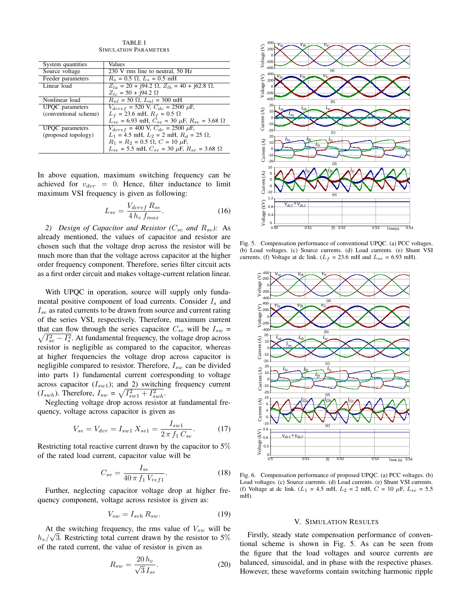TABLE I SIMULATION PARAMETERS

| System quantities      | Values                                                              |
|------------------------|---------------------------------------------------------------------|
| Source voltage         | 230 V rms line to neutral, 50 Hz                                    |
| Feeder parameters      | $R_s = 0.5 \Omega$ , $L_s = 0.5 \text{ mH}$                         |
| Linear load            | $Z_{la} = 20 + j94.2 \Omega$ , $Z_{lb} = 40 + j62.8 \Omega$ ,       |
|                        | $Z_{lc} = 50 + 194.2 \Omega$                                        |
| Nonlinear load         | $R_{nl}$ = 50 $\Omega$ , $L_{nl}$ = 300 mH                          |
| <b>UPQC</b> parameters | $V_{dcref}$ = 520 V, $C_{dc}$ = 2500 $\mu$ F,                       |
| (conventional scheme)  | $L_f = 23.6$ mH, $R_f = 0.5$ $\Omega$                               |
|                        | $L_{se}$ = 6.93 mH, $C_{se}$ = 30 $\mu$ F, $R_{se}$ = 3.68 $\Omega$ |
| UPQC parameters        | $V_{dcref}$ = 400 V, $C_{dc}$ = 2500 $\mu$ F,                       |
| (proposed topology)    | $L_1 = 4.5$ mH, $L_2 = 2$ mH, $R_d = 25 \Omega$ ,                   |
|                        | $R_1 = R_2 = 0.5 \Omega$ , $C = 10 \mu$ F,                          |
|                        | $L_{se}$ = 5.5 mH, $C_{se}$ = 30 $\mu$ F, $R_{se}$ = 3.68 $\Omega$  |
|                        |                                                                     |

In above equation, maximum switching frequency can be achieved for  $v_{\text{d}vr} = 0$ . Hence, filter inductance to limit maximum VSI frequency is given as following:

$$
L_{se} = \frac{V_{dcref} R_{se}}{4h_v f_{max}}.\tag{16}
$$

2) Design of Capacitor and Resistor ( $C_{se}$  and  $R_{se}$ ): As already mentioned, the values of capacitor and resistor are chosen such that the voltage drop across the resistor will be much more than that the voltage across capacitor at the higher order frequency component. Therefore, series filter circuit acts as a first order circuit and makes voltage-current relation linear.

With UPQC in operation, source will supply only fundamental positive component of load currents. Consider  $I_s$  and  $I_{se}$  as rated currents to be drawn from source and current rating of the series VSI, respectively. Therefore, maximum current that can flow through the series capacitor  $C_{se}$  will be  $I_{sw}$  =  $\sqrt{I_{se}^2 - I_s^2}$ . At fundamental frequency, the voltage drop across resistor is negligible as compared to the capacitor, whereas at higher frequencies the voltage drop across capacitor is negligible compared to resistor. Therefore,  $I_{sw}$  can be divided into parts 1) fundamental current corresponding to voltage across capacitor  $(I_{sw1})$ ; and 2) switching frequency current  $(I_{swh})$ . Therefore,  $I_{sw} = \sqrt{I_{sw1}^2 + I_{swh}^2}$ .

Neglecting voltage drop across resistor at fundamental frequency, voltage across capacitor is given as

$$
V_{se} = V_{dvr} = I_{sw1} X_{se1} = \frac{I_{sw1}}{2 \pi f_1 C_{se}}.
$$
 (17)

Restricting total reactive current drawn by the capacitor to 5% of the rated load current, capacitor value will be

$$
C_{se} = \frac{I_{se}}{40 \pi f_1 V_{ref1}}.
$$
 (18)

Further, neglecting capacitor voltage drop at higher frequency component, voltage across resistor is given as:

$$
V_{sw} = I_{seh} R_{sw}.\tag{19}
$$

At the switching frequency, the rms value of  $V_{sw}$  will be  $h_v/\sqrt{3}$ . Restricting total current drawn by the resistor to 5% of the rated current, the value of resistor is given as

$$
R_{sw} = \frac{20 \, h_v}{\sqrt{3} \, I_{se}}.\tag{20}
$$



Fig. 5. Compensation performance of conventional UPQC. (a) PCC voltages. (b) Load voltages. (c) Source currents. (d) Load currents. (e) Shunt VSI currents. (f) Voltage at dc link. ( $L_f = 23.6$  mH and  $L_{se} = 6.93$  mH).



Fig. 6. Compensation performance of proposed UPQC. (a) PCC voltages. (b) Load voltages. (c) Source currents. (d) Load currents. (e) Shunt VSI currents. (f) Voltage at dc link. ( $L_1 = 4.5$  mH,  $L_2 = 2$  mH,  $C = 10 \mu$ F,  $L_{se} = 5.5$ mH).

#### V. SIMULATION RESULTS

Firstly, steady state compensation performance of conventional scheme is shown in Fig. 5. As can be seen from the figure that the load voltages and source currents are balanced, sinusoidal, and in phase with the respective phases. However, these waveforms contain switching harmonic ripple